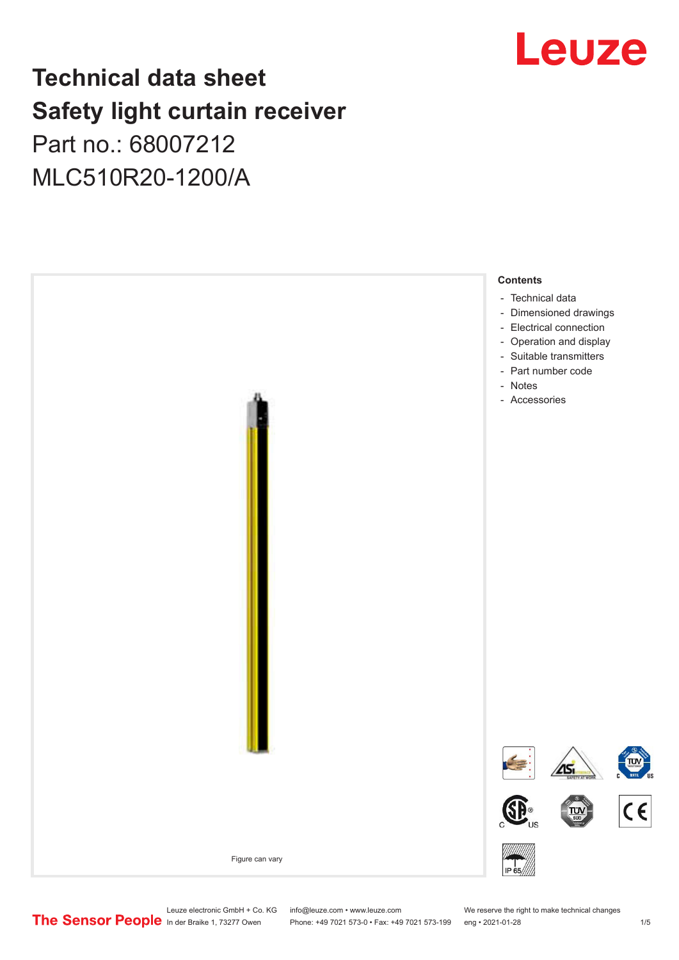# Leuze

# **Technical data sheet Safety light curtain receiver** Part no.: 68007212

MLC510R20-1200/A



Leuze electronic GmbH + Co. KG info@leuze.com • www.leuze.com We reserve the right to make technical changes<br>
The Sensor People in der Braike 1, 73277 Owen Phone: +49 7021 573-0 • Fax: +49 7021 573-199 eng • 2021-01-28

Phone: +49 7021 573-0 • Fax: +49 7021 573-199 eng • 2021-01-28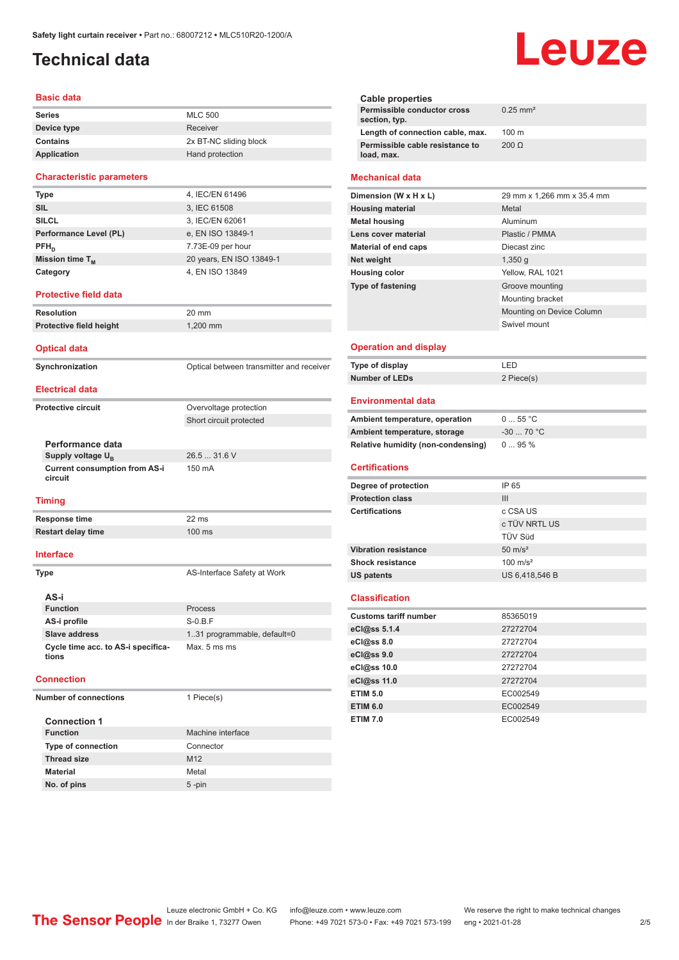# <span id="page-1-0"></span>**Technical data**

## **Basic data**

| <b>Series</b>   | <b>MLC 500</b>         |
|-----------------|------------------------|
| Device type     | Receiver               |
| <b>Contains</b> | 2x BT-NC sliding block |
| Application     | Hand protection        |

## **Characteristic parameters**

| Type                        | 4, IEC/EN 61496          |
|-----------------------------|--------------------------|
| SIL                         | 3, IEC 61508             |
| SILCL                       | 3, IEC/EN 62061          |
| Performance Level (PL)      | e, EN ISO 13849-1        |
| PFH <sub>n</sub>            | 7.73E-09 per hour        |
| Mission time T <sub>M</sub> | 20 years, EN ISO 13849-1 |
| Category                    | 4, EN ISO 13849          |
|                             |                          |

## **Protective field data**

| <b>Resolution</b>       | $20 \text{ mm}$ |
|-------------------------|-----------------|
| Protective field height | $1.200$ mm      |

## **Optical data**

**Synchronization Synchronization** Optical between transmitter and receiver

## **Electrical data**

**Protective circuit COVER COVER COVER COVER COVER COVER COVER COVER COVER COVER COVER COVER COVER COVER COVER** 

**Performance data Supply voltage U<sub>B</sub> Current consumption from AS-i circuit**

### **Timing**

**Response time** 22 ms **Restart delay time** 100 ms

## **Interface**

**Type AS-Interface Safety at Work** 

Short circuit protected

26.5 ... 31.6 V

150 mA

| AS-i                                        |                              |
|---------------------------------------------|------------------------------|
| <b>Function</b>                             | <b>Process</b>               |
| AS-i profile                                | $S-0.B.F$                    |
| Slave address                               | 1.31 programmable, default=0 |
| Cycle time acc. to AS-i specifica-<br>tions | Max. 5 ms ms                 |

## **Connection**

**Number of connections** 1 Piece(s)

| <b>Connection 1</b>       |                   |
|---------------------------|-------------------|
| <b>Function</b>           | Machine interface |
| <b>Type of connection</b> | Connector         |
| <b>Thread size</b>        | M <sub>12</sub>   |
| <b>Material</b>           | Metal             |
| No. of pins               | $5 - pin$         |

|                        | Cable properties                              |                        |
|------------------------|-----------------------------------------------|------------------------|
|                        | Permissible conductor cross<br>section, typ.  | $0.25$ mm <sup>2</sup> |
|                        | Length of connection cable, max.              | $100 \text{ m}$        |
|                        | Permissible cable resistance to<br>load, max. | 200 O                  |
| <b>Mechanical data</b> |                                               |                        |
|                        |                                               |                        |

## **Dimension (W x H x L)** 29 mm x 1,266 mm x 35.4 mm **Housing material** Metal **Metal housing Aluminum Lens cover material** Plastic / PMMA **Material of end caps** Diecast zinc **Net weight** 1,350 g **Housing color** Yellow, RAL 1021 **Type of fastening** Groove mounting Mounting bracket Mounting on Device Column Swivel mount

## **Operation and display**

| Type of display | I FD       |
|-----------------|------------|
| Number of LEDs  | 2 Piece(s) |

### **Environmental data**

| Ambient temperature, operation     | 055 °C     |
|------------------------------------|------------|
| Ambient temperature, storage       | $-3070 °C$ |
| Relative humidity (non-condensing) | 095%       |

## **Certifications**

| Degree of protection        | IP 65               |
|-----------------------------|---------------------|
| <b>Protection class</b>     | Ш                   |
| <b>Certifications</b>       | c CSA US            |
|                             | c TÜV NRTL US       |
|                             | <b>TÜV Süd</b>      |
| <b>Vibration resistance</b> | $50 \text{ m/s}^2$  |
| <b>Shock resistance</b>     | $100 \text{ m/s}^2$ |
| <b>US patents</b>           | US 6,418,546 B      |

## **Classification**

| <b>Customs tariff number</b> | 85365019 |
|------------------------------|----------|
| eCl@ss 5.1.4                 | 27272704 |
| eCl@ss 8.0                   | 27272704 |
| eCl@ss 9.0                   | 27272704 |
| eCl@ss 10.0                  | 27272704 |
| eCl@ss 11.0                  | 27272704 |
| <b>ETIM 5.0</b>              | EC002549 |
| <b>ETIM 6.0</b>              | EC002549 |
| <b>ETIM 7.0</b>              | EC002549 |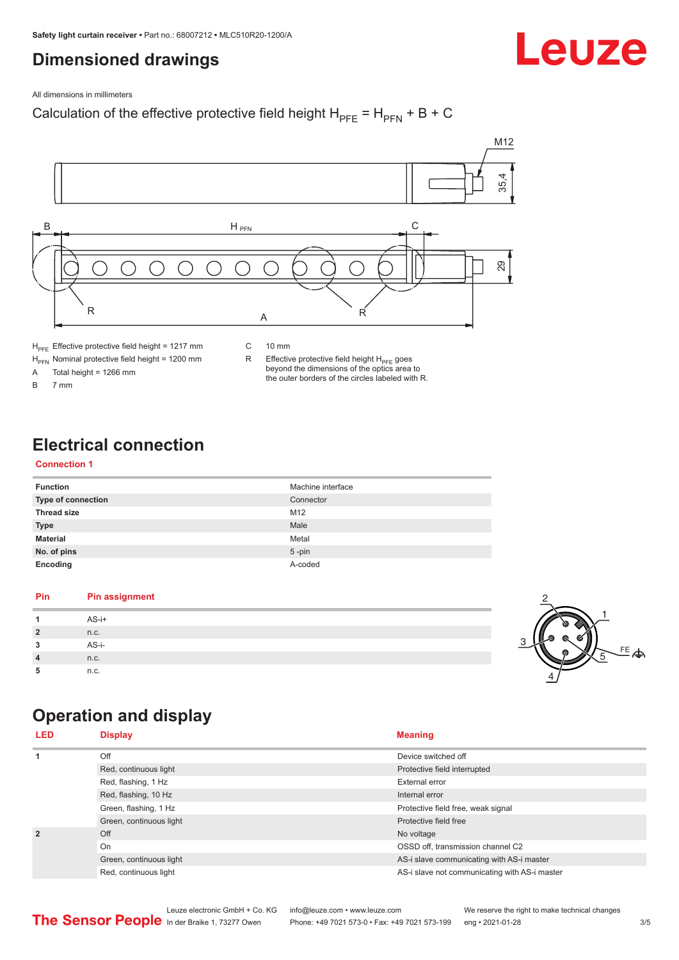# <span id="page-2-0"></span>**Dimensioned drawings**

Leuze

All dimensions in millimeters

## Calculation of the effective protective field height  $H_{PFE} = H_{PFN} + B + C$



 $H<sub>PE</sub>$  Effective protective field height = 1217 mm

 $H_{\text{PFN}}$  Nominal protective field height = 1200 mm<br>A Total height = 1266 mm

Total height =  $1266$  mm

B 7 mm

C 10 mm

R Effective protective field height  $H_{PFE}$  goes beyond the dimensions of the optics area to the outer borders of the circles labeled with R.

# **Electrical connection**

## **Connection 1**

| <b>Function</b>           | Machine interface |
|---------------------------|-------------------|
| <b>Type of connection</b> | Connector         |
| <b>Thread size</b>        | M <sub>12</sub>   |
| <b>Type</b>               | Male              |
| <b>Material</b>           | Metal             |
| No. of pins               | $5$ -pin          |
| Encoding                  | A-coded           |

## **Pin Pin assignment 1** AS-i+ **2** n.c. **3** AS-i-**4** n.c. **5** n.c.



# **Operation and display**

| <b>LED</b>     | <b>Display</b>          | <b>Meaning</b>                                |
|----------------|-------------------------|-----------------------------------------------|
| 1              | Off                     | Device switched off                           |
|                | Red, continuous light   | Protective field interrupted                  |
|                | Red, flashing, 1 Hz     | External error                                |
|                | Red, flashing, 10 Hz    | Internal error                                |
|                | Green, flashing, 1 Hz   | Protective field free, weak signal            |
|                | Green, continuous light | Protective field free                         |
| $\overline{2}$ | Off                     | No voltage                                    |
|                | On                      | OSSD off. transmission channel C2             |
|                | Green, continuous light | AS-i slave communicating with AS-i master     |
|                | Red, continuous light   | AS-i slave not communicating with AS-i master |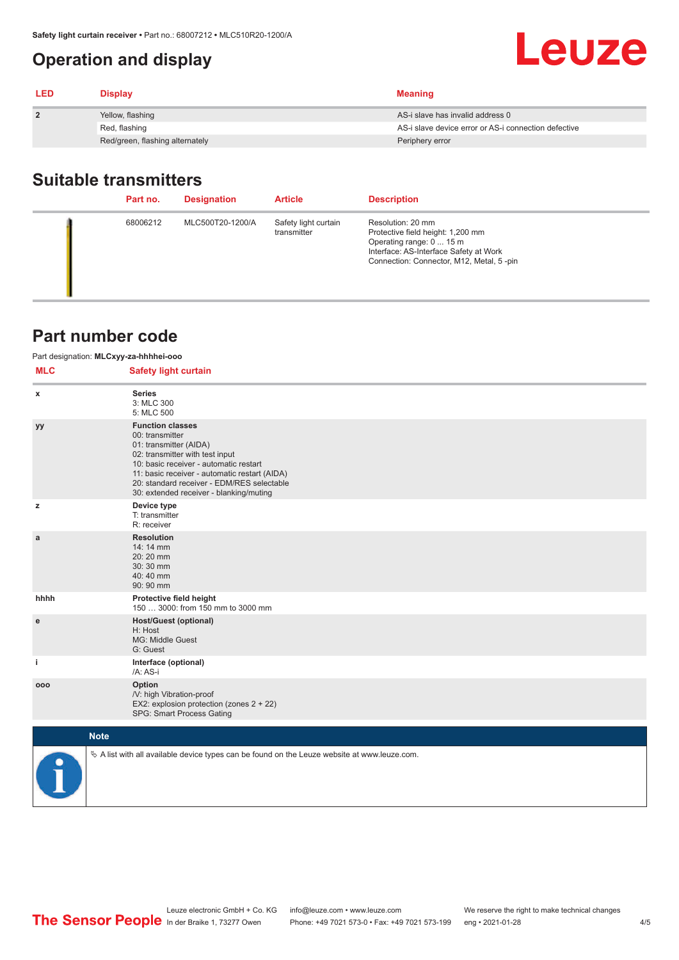# <span id="page-3-0"></span>**Operation and display**

| <b>LED</b>   | <b>Display</b>                  | <b>Meaning</b>                                       |
|--------------|---------------------------------|------------------------------------------------------|
| $\mathbf{2}$ | Yellow, flashing                | AS-i slave has invalid address 0                     |
|              | Red, flashing                   | AS-i slave device error or AS-i connection defective |
|              | Red/green, flashing alternately | Periphery error                                      |

# **Suitable transmitters**

| Part no. | <b>Designation</b> | <b>Article</b>                      | <b>Description</b>                                                                                                                                                       |
|----------|--------------------|-------------------------------------|--------------------------------------------------------------------------------------------------------------------------------------------------------------------------|
| 68006212 | MLC500T20-1200/A   | Safety light curtain<br>transmitter | Resolution: 20 mm<br>Protective field height: 1,200 mm<br>Operating range: 0  15 m<br>Interface: AS-Interface Safety at Work<br>Connection: Connector, M12, Metal, 5-pin |

# **Part number code**

|            | Part designation: MLCxyy-za-hhhhei-ooo                                                                                                                                                                                                                                                      |
|------------|---------------------------------------------------------------------------------------------------------------------------------------------------------------------------------------------------------------------------------------------------------------------------------------------|
| <b>MLC</b> | <b>Safety light curtain</b>                                                                                                                                                                                                                                                                 |
| x          | <b>Series</b><br>3: MLC 300<br>5: MLC 500                                                                                                                                                                                                                                                   |
| уу         | <b>Function classes</b><br>00: transmitter<br>01: transmitter (AIDA)<br>02: transmitter with test input<br>10: basic receiver - automatic restart<br>11: basic receiver - automatic restart (AIDA)<br>20: standard receiver - EDM/RES selectable<br>30: extended receiver - blanking/muting |
| z          | Device type<br>T: transmitter<br>R: receiver                                                                                                                                                                                                                                                |
| a          | <b>Resolution</b><br>14:14 mm<br>20:20 mm<br>30:30 mm<br>40:40 mm<br>90: 90 mm                                                                                                                                                                                                              |
| hhhh       | Protective field height<br>150  3000: from 150 mm to 3000 mm                                                                                                                                                                                                                                |
| ${\bf e}$  | <b>Host/Guest (optional)</b><br>H: Host<br>MG: Middle Guest<br>G: Guest                                                                                                                                                                                                                     |
| j.         | Interface (optional)<br>/A: AS-i                                                                                                                                                                                                                                                            |
| 000        | Option<br>/V: high Vibration-proof<br>EX2: explosion protection (zones 2 + 22)<br>SPG: Smart Process Gating                                                                                                                                                                                 |
|            | <b>Note</b>                                                                                                                                                                                                                                                                                 |
|            | $\&$ A list with all available device types can be found on the Leuze website at www.leuze.com.                                                                                                                                                                                             |

#### $4/5$

Leuze